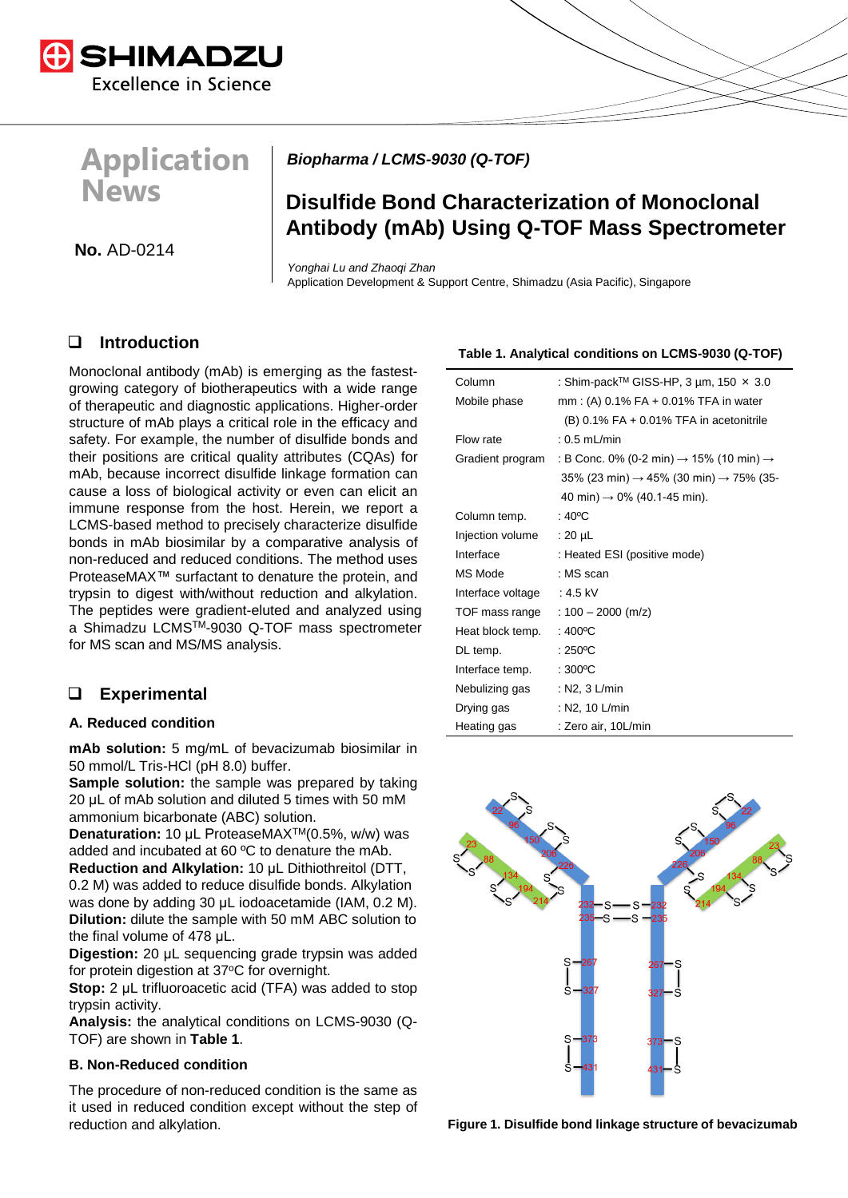

# **Application News**

*Biopharma / LCMS-9030 (Q-TOF)* 

# **Disulfide Bond Characterization of Monoclonal Antibody (mAb) Using Q-TOF Mass Spectrometer**

**No.** AD-0214

*Yonghai Lu and Zhaoqi Zhan* Application Development & Support Centre, Shimadzu (Asia Pacific), Singapore

# ❑ **Introduction**

Monoclonal antibody (mAb) is emerging as the fastestgrowing category of biotherapeutics with a wide range of therapeutic and diagnostic applications. Higher-order structure of mAb plays a critical role in the efficacy and safety. For example, the number of disulfide bonds and their positions are critical quality attributes (CQAs) for mAb, because incorrect disulfide linkage formation can cause a loss of biological activity or even can elicit an immune response from the host. Herein, we report a LCMS-based method to precisely characterize disulfide bonds in mAb biosimilar by a comparative analysis of non-reduced and reduced conditions. The method uses ProteaseMAX™ surfactant to denature the protein, and trypsin to digest with/without reduction and alkylation. The peptides were gradient-eluted and analyzed using a Shimadzu LCMSTM-9030 Q-TOF mass spectrometer for MS scan and MS/MS analysis.

# ❑ **Experimental**

# **A. Reduced condition**

**mAb solution:** 5 mg/mL of bevacizumab biosimilar in 50 mmol/L Tris-HCl (pH 8.0) buffer.

**Sample solution:** the sample was prepared by taking 20 μL of mAb solution and diluted 5 times with 50 mM ammonium bicarbonate (ABC) solution.

**Denaturation:** 10 μL ProteaseMAXTM(0.5%, w/w) was added and incubated at 60 ºC to denature the mAb.

**Reduction and Alkylation:** 10 μL Dithiothreitol (DTT, 0.2 M) was added to reduce disulfide bonds. Alkylation was done by adding 30 μL iodoacetamide (IAM, 0.2 M). **Dilution:** dilute the sample with 50 mM ABC solution to the final volume of 478 μL.

**Digestion:** 20 μL sequencing grade trypsin was added for protein digestion at 37°C for overnight.

**Stop:** 2 μL trifluoroacetic acid (TFA) was added to stop trypsin activity.

**Analysis:** the analytical conditions on LCMS-9030 (Q-TOF) are shown in **Table 1**.

# **B. Non-Reduced condition**

The procedure of non-reduced condition is the same as it used in reduced condition except without the step of reduction and alkylation.

# **Table 1. Analytical conditions on LCMS-9030 (Q-TOF)**

| Column            | : Shim-pack™ GISS-HP, 3 µm, 150 $\times$ 3.0                    |
|-------------------|-----------------------------------------------------------------|
| Mobile phase      | $mm: (A) 0.1\% FA + 0.01\% TFA$ in water                        |
|                   | $(B)$ 0.1% FA + 0.01% TFA in acetonitrile                       |
| Flow rate         | $: 0.5$ mL/min                                                  |
| Gradient program  | : B Conc. 0% (0-2 min) $\rightarrow$ 15% (10 min) $\rightarrow$ |
|                   | 35% (23 min) $\rightarrow$ 45% (30 min) $\rightarrow$ 75% (35-  |
|                   | 40 min) $\rightarrow$ 0% (40.1-45 min).                         |
| Column temp.      | : 40 $^{\circ}$ C                                               |
| Injection volume  | $:20 \mu L$                                                     |
| Interface         | : Heated ESI (positive mode)                                    |
| MS Mode           | : MS scan                                                       |
| Interface voltage | $: 4.5$ kV                                                      |
| TOF mass range    | : $100 - 2000$ (m/z)                                            |
| Heat block temp.  | : $400^{\circ}$ C                                               |
| DL temp.          | : $250^{\circ}$ C                                               |
| Interface temp.   | $:300^{\circ}$ C                                                |
| Nebulizing gas    | $:$ N2, 3 L/min                                                 |
| Drying gas        | : N2, 10 L/min                                                  |
| Heating gas       | : Zero air, 10L/min                                             |



**Figure 1. Disulfide bond linkage structure of bevacizumab**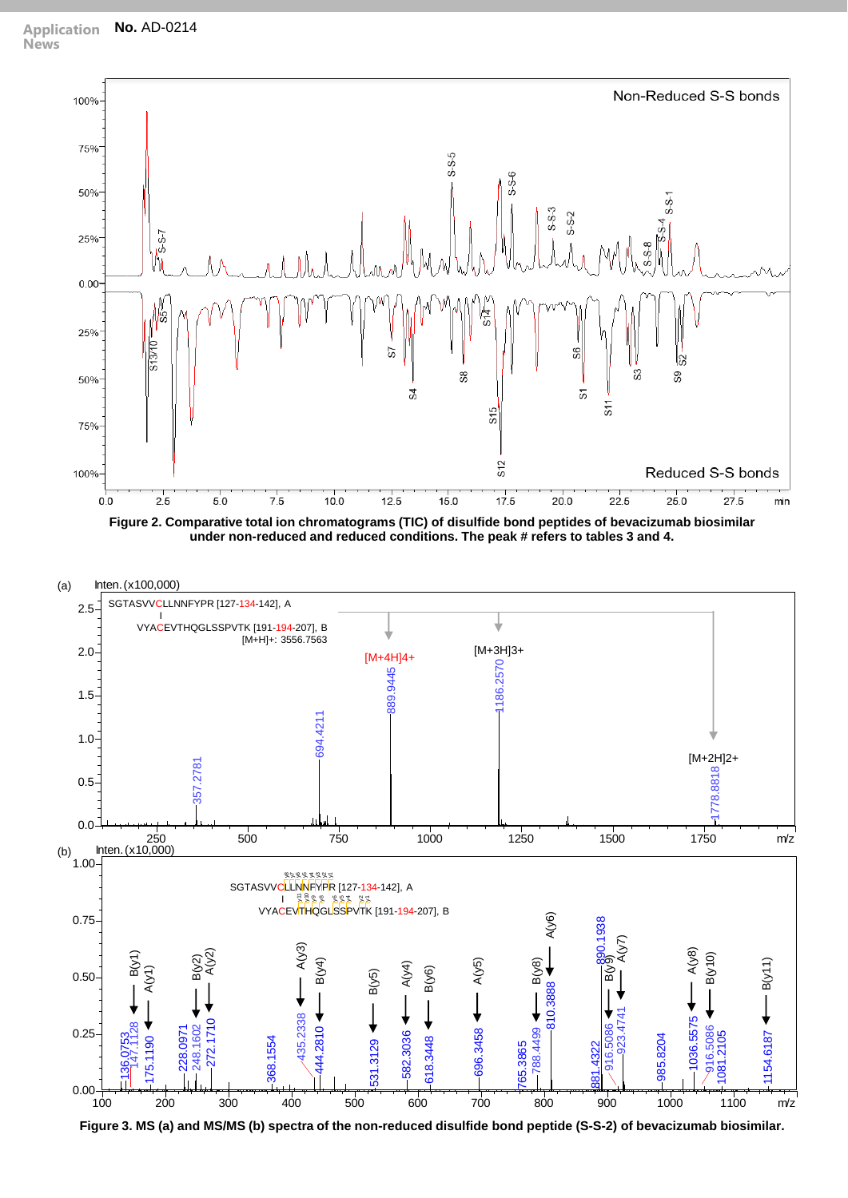





**Figure 3. MS (a) and MS/MS (b) spectra of the non-reduced disulfide bond peptide (S-S-2) of bevacizumab biosimilar.**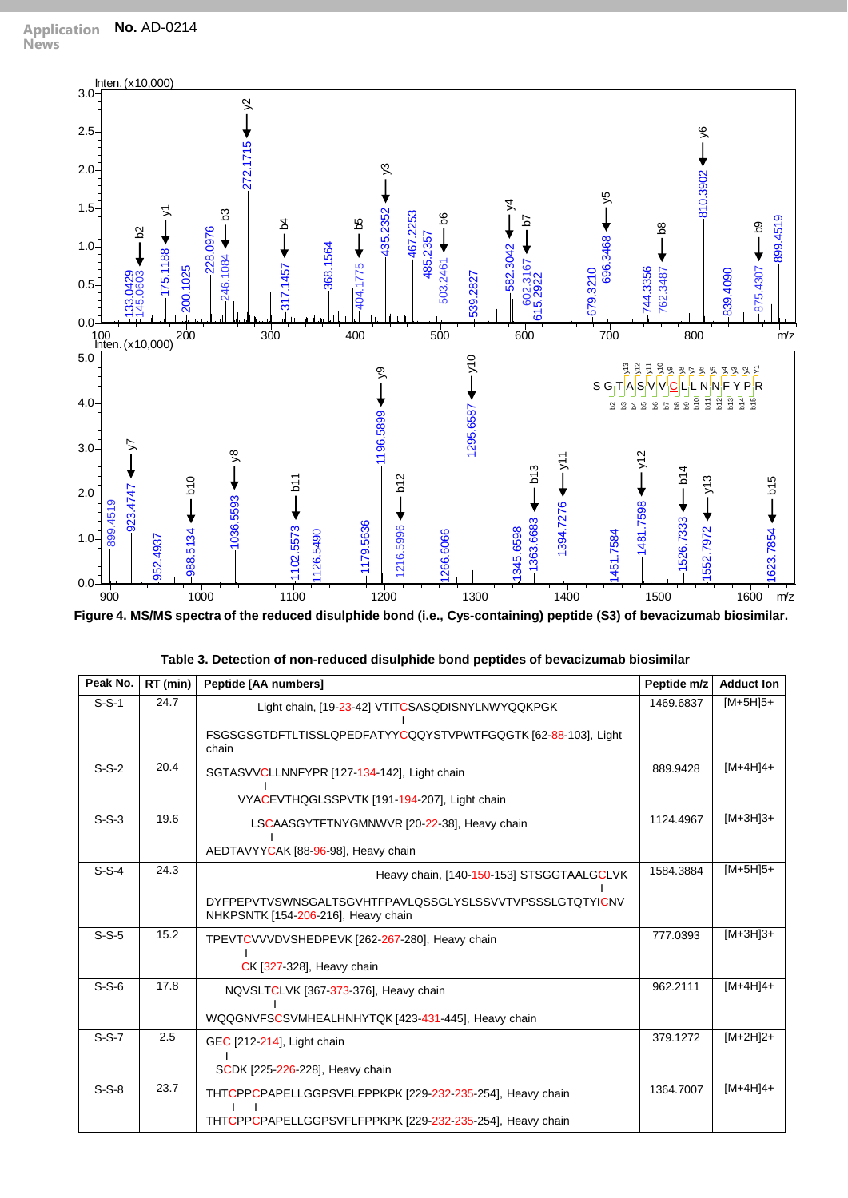

**Figure 4. MS/MS spectra of the reduced disulphide bond (i.e., Cys-containing) peptide (S3) of bevacizumab biosimilar.**

| Peak No. | RT (min) | Peptide [AA numbers]                                                                           | Peptide m/z | <b>Adduct Ion</b> |
|----------|----------|------------------------------------------------------------------------------------------------|-------------|-------------------|
| $S-S-1$  | 24.7     | Light chain, [19-23-42] VTITCSASQDISNYLNWYQQKPGK                                               | 1469.6837   | $[M+5H]5+$        |
|          |          | FSGSGSGTDFTLTISSLQPEDFATYYCQQYSTVPWTFGQGTK [62-88-103], Light<br>chain                         |             |                   |
| $S-S-2$  | 20.4     | SGTASVVCLLNNFYPR [127-134-142], Light chain                                                    | 889.9428    | $[M+4H]4+$        |
|          |          | VYACEVTHQGLSSPVTK [191-194-207], Light chain                                                   |             |                   |
| $S-S-3$  | 19.6     | LSCAASGYTFTNYGMNWVR [20-22-38], Heavy chain                                                    | 1124.4967   | $[M+3H]3+$        |
|          |          | AEDTAVYYCAK [88-96-98], Heavy chain                                                            |             |                   |
| $S-S-4$  | 24.3     | Heavy chain, [140-150-153] STSGGTAALGCLVK                                                      | 1584.3884   | $[M+5H]5+$        |
|          |          | DYFPEPVTVSWNSGALTSGVHTFPAVLOSSGLYSLSSVVTVPSSSLGTOTYICNV<br>NHKPSNTK [154-206-216], Heavy chain |             |                   |
| $S-S-5$  | 15.2     | TPEVTCVVVDVSHEDPEVK [262-267-280], Heavy chain                                                 | 777.0393    | $[M+3H]3+$        |
|          |          | CK [327-328], Heavy chain                                                                      |             |                   |
| $S-S-6$  | 17.8     | NQVSLTCLVK [367-373-376], Heavy chain                                                          | 962.2111    | $[M+4H]4+$        |
|          |          | WQQGNVFSCSVMHEALHNHYTQK [423-431-445], Heavy chain                                             |             |                   |
| $S-S-7$  | 2.5      | GEC [212-214], Light chain                                                                     | 379.1272    | $[M+2H]2+$        |
|          |          | SCDK [225-226-228], Heavy chain                                                                |             |                   |
| $S-S-8$  | 23.7     | THTCPPCPAPELLGGPSVFLFPPKPK [229-232-235-254], Heavy chain                                      | 1364.7007   | $[M+4H]4+$        |
|          |          | THTCPPCPAPELLGGPSVFLFPPKPK [229-232-235-254], Heavy chain                                      |             |                   |

| Table 3. Detection of non-reduced disulphide bond peptides of bevacizumab biosimilar |  |  |
|--------------------------------------------------------------------------------------|--|--|
|--------------------------------------------------------------------------------------|--|--|